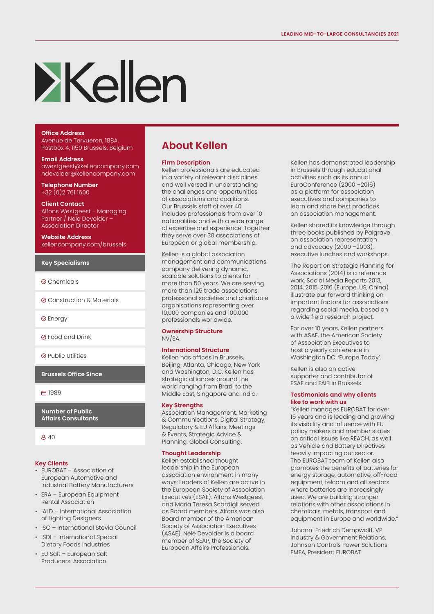# **Exclien**

### **Office Address**

Avenue de Tervueren, 188A, Postbox 4, 1150 Brussels, Belgium

**Email Address** awestgeest@kellencompany.com ndevolder@kellencompany.com

**Telephone Number** +32 (0)2 761 1600

#### **Client Contact**

Alfons Westgeest - Managing Partner / Nele Devolder – Association Director

**Website Address** kellencompany.com/brussels

#### **Key Specialisms**

- **⊘**Chemicals
- Construction & Materials
- **⊘** Energy

Food and Drink

 $\odot$  Public Utilities

**Brussels Office Since**

□ 1989

**Number of Public Affairs Consultants**

 $840$ 

#### **Key Clients**

- EUROBAT Association of European Automotive and Industrial Battery Manufacturers
- ERA European Equipment Rental Association
- IALD International Association of Lighting Designers
- ISC International Stevia Council
- ISDI International Special Dietary Foods Industries
- EU Salt European Salt Producers' Association.

# **About Kellen**

#### **Firm Description**

Kellen professionals are educated in a variety of relevant disciplines and well versed in understanding the challenges and opportunities of associations and coalitions. Our Brussels staff of over 40 includes professionals from over 10 nationalities and with a wide range of expertise and experience. Together they serve over 30 associations of European or global membership.

Kellen is a global association management and communications company delivering dynamic, scalable solutions to clients for more than 50 years. We are serving more than 125 trade associations, professional societies and charitable organisations representing over 10,000 companies and 100,000 professionals worldwide.

#### **Ownership Structure**

NV/SA.

## **International Structure**

Kellen has offices in Brussels, Beijing, Atlanta, Chicago, New York and Washington, D.C. Kellen has strategic alliances around the world ranging from Brazil to the Middle East, Singapore and India.

#### **Key Strengths**

Association Management, Marketing & Communications, Digital Strategy, Regulatory & EU Affairs, Meetings & Events, Strategic Advice & Planning, Global Consulting.

#### **Thought Leadership**

Kellen established thought leadership in the European association environment in many ways: Leaders of Kellen are active in the European Society of Association Executives (ESAE). Alfons Westgeest and Maria Teresa Scardigli served as Board members. Alfons was also Board member of the American Society of Association Executives (ASAE). Nele Devolder is a board member of SEAP, the Society of European Affairs Professionals.

Kellen has demonstrated leadership in Brussels through educational activities such as its annual EuroConference (2000 –2016) as a platform for association executives and companies to learn and share best practices on association management.

Kellen shared its knowledge through three books published by Palgrave on association representation and advocacy (2000 –2003), executive lunches and workshops.

The Report on Strategic Planning for Associations (2014) is a reference work. Social Media Reports 2013, 2014, 2015, 2016 (Europe, US, China) illustrate our forward thinking on important factors for associations regarding social media, based on a wide field research project.

For over 10 years, Kellen partners with ASAE, the American Society of Association Executives to host a yearly conference in Washington DC: 'Europe Today'.

Kellen is also an active supporter and contributor of ESAE and FAIB in Brussels.

#### **Testimonials and why clients like to work with us**

"Kellen manages EUROBAT for over 15 years and is leading and growing its visibility and influence with EU policy makers and member states on critical issues like REACH, as well as Vehicle and Battery Directives heavily impacting our sector. The EUROBAT team of Kellen also promotes the benefits of batteries for energy storage, automotive, off-road equipment, telcom and all sectors where batteries are increasingly used. We are building stronger relations with other associations in chemicals, metals, transport and equipment in Europe and worldwide."

Johann-Friedrich Dempwolff, VP Industry & Government Relations, Johnson Controls Power Solutions EMEA, President EUROBAT